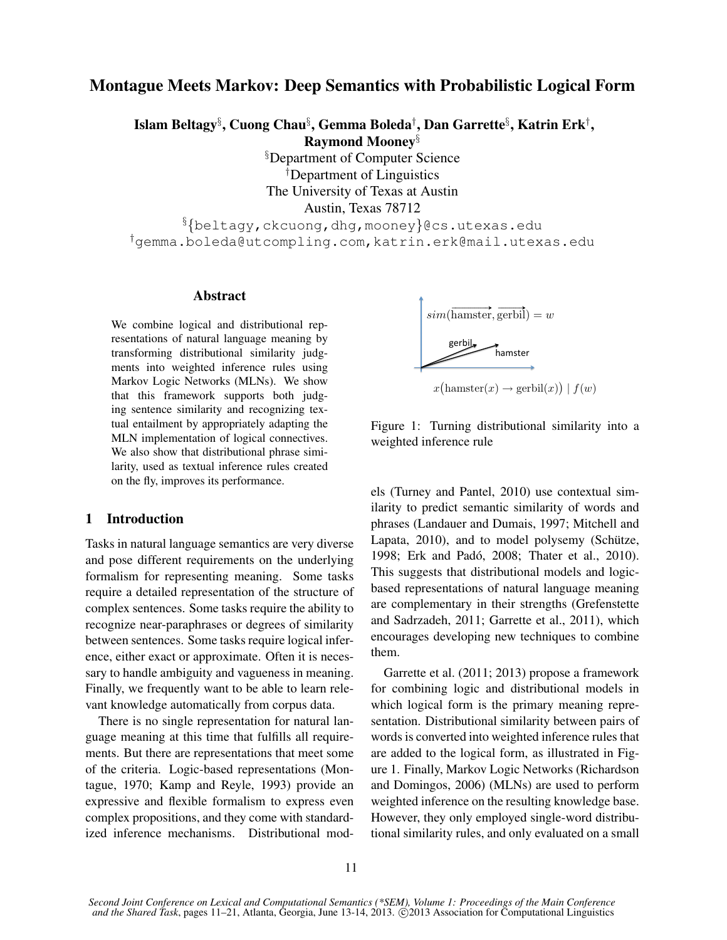# Montague Meets Markov: Deep Semantics with Probabilistic Logical Form

Islam Beltagy§ , Cuong Chau§ , Gemma Boleda† , Dan Garrette§ , Katrin Erk† ,

Raymond Mooney§

§Department of Computer Science †Department of Linguistics The University of Texas at Austin

Austin, Texas 78712

§{beltagy,ckcuong,dhg,mooney}@cs.utexas.edu †gemma.boleda@utcompling.com,katrin.erk@mail.utexas.edu

### Abstract

We combine logical and distributional representations of natural language meaning by transforming distributional similarity judgments into weighted inference rules using Markov Logic Networks (MLNs). We show that this framework supports both judging sentence similarity and recognizing textual entailment by appropriately adapting the MLN implementation of logical connectives. We also show that distributional phrase similarity, used as textual inference rules created on the fly, improves its performance.

#### 1 Introduction

Tasks in natural language semantics are very diverse and pose different requirements on the underlying formalism for representing meaning. Some tasks require a detailed representation of the structure of complex sentences. Some tasks require the ability to recognize near-paraphrases or degrees of similarity between sentences. Some tasks require logical inference, either exact or approximate. Often it is necessary to handle ambiguity and vagueness in meaning. Finally, we frequently want to be able to learn relevant knowledge automatically from corpus data.

There is no single representation for natural language meaning at this time that fulfills all requirements. But there are representations that meet some of the criteria. Logic-based representations (Montague, 1970; Kamp and Reyle, 1993) provide an expressive and flexible formalism to express even complex propositions, and they come with standardized inference mechanisms. Distributional mod-

$$
sim(\overrightarrow{\text{hamster}}, \overrightarrow{\text{gerbil}}) = w
$$
\n
$$
gen \overrightarrow{\text{bin}}
$$
\n
$$
hamster
$$

 $x\big(\text{hamster}(x) \rightarrow \text{gerbil}(x)\big) \mid f(w)$ 



els (Turney and Pantel, 2010) use contextual similarity to predict semantic similarity of words and phrases (Landauer and Dumais, 1997; Mitchell and Lapata, 2010), and to model polysemy (Schütze, 1998; Erk and Padó, 2008; Thater et al., 2010). This suggests that distributional models and logicbased representations of natural language meaning are complementary in their strengths (Grefenstette and Sadrzadeh, 2011; Garrette et al., 2011), which encourages developing new techniques to combine them.

Garrette et al. (2011; 2013) propose a framework for combining logic and distributional models in which logical form is the primary meaning representation. Distributional similarity between pairs of words is converted into weighted inference rules that are added to the logical form, as illustrated in Figure 1. Finally, Markov Logic Networks (Richardson and Domingos, 2006) (MLNs) are used to perform weighted inference on the resulting knowledge base. However, they only employed single-word distributional similarity rules, and only evaluated on a small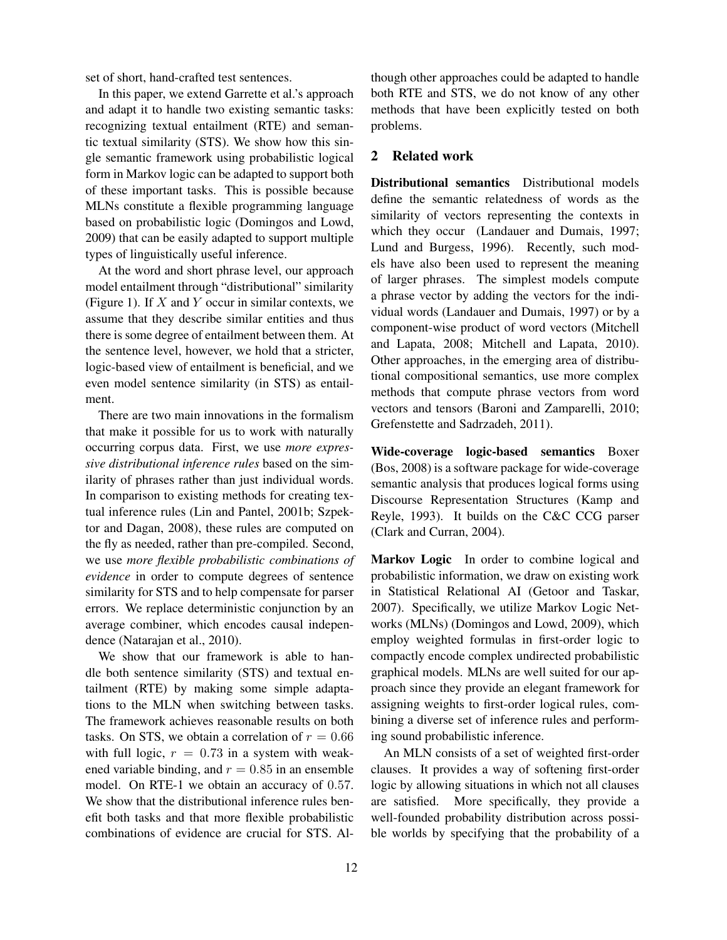set of short, hand-crafted test sentences.

In this paper, we extend Garrette et al.'s approach and adapt it to handle two existing semantic tasks: recognizing textual entailment (RTE) and semantic textual similarity (STS). We show how this single semantic framework using probabilistic logical form in Markov logic can be adapted to support both of these important tasks. This is possible because MLNs constitute a flexible programming language based on probabilistic logic (Domingos and Lowd, 2009) that can be easily adapted to support multiple types of linguistically useful inference.

At the word and short phrase level, our approach model entailment through "distributional" similarity (Figure 1). If  $X$  and  $Y$  occur in similar contexts, we assume that they describe similar entities and thus there is some degree of entailment between them. At the sentence level, however, we hold that a stricter, logic-based view of entailment is beneficial, and we even model sentence similarity (in STS) as entailment.

There are two main innovations in the formalism that make it possible for us to work with naturally occurring corpus data. First, we use *more expressive distributional inference rules* based on the similarity of phrases rather than just individual words. In comparison to existing methods for creating textual inference rules (Lin and Pantel, 2001b; Szpektor and Dagan, 2008), these rules are computed on the fly as needed, rather than pre-compiled. Second, we use *more flexible probabilistic combinations of evidence* in order to compute degrees of sentence similarity for STS and to help compensate for parser errors. We replace deterministic conjunction by an average combiner, which encodes causal independence (Natarajan et al., 2010).

We show that our framework is able to handle both sentence similarity (STS) and textual entailment (RTE) by making some simple adaptations to the MLN when switching between tasks. The framework achieves reasonable results on both tasks. On STS, we obtain a correlation of  $r = 0.66$ with full logic,  $r = 0.73$  in a system with weakened variable binding, and  $r = 0.85$  in an ensemble model. On RTE-1 we obtain an accuracy of 0.57. We show that the distributional inference rules benefit both tasks and that more flexible probabilistic combinations of evidence are crucial for STS. Although other approaches could be adapted to handle both RTE and STS, we do not know of any other methods that have been explicitly tested on both problems.

## 2 Related work

Distributional semantics Distributional models define the semantic relatedness of words as the similarity of vectors representing the contexts in which they occur (Landauer and Dumais, 1997; Lund and Burgess, 1996). Recently, such models have also been used to represent the meaning of larger phrases. The simplest models compute a phrase vector by adding the vectors for the individual words (Landauer and Dumais, 1997) or by a component-wise product of word vectors (Mitchell and Lapata, 2008; Mitchell and Lapata, 2010). Other approaches, in the emerging area of distributional compositional semantics, use more complex methods that compute phrase vectors from word vectors and tensors (Baroni and Zamparelli, 2010; Grefenstette and Sadrzadeh, 2011).

Wide-coverage logic-based semantics Boxer (Bos, 2008) is a software package for wide-coverage semantic analysis that produces logical forms using Discourse Representation Structures (Kamp and Reyle, 1993). It builds on the C&C CCG parser (Clark and Curran, 2004).

Markov Logic In order to combine logical and probabilistic information, we draw on existing work in Statistical Relational AI (Getoor and Taskar, 2007). Specifically, we utilize Markov Logic Networks (MLNs) (Domingos and Lowd, 2009), which employ weighted formulas in first-order logic to compactly encode complex undirected probabilistic graphical models. MLNs are well suited for our approach since they provide an elegant framework for assigning weights to first-order logical rules, combining a diverse set of inference rules and performing sound probabilistic inference.

An MLN consists of a set of weighted first-order clauses. It provides a way of softening first-order logic by allowing situations in which not all clauses are satisfied. More specifically, they provide a well-founded probability distribution across possible worlds by specifying that the probability of a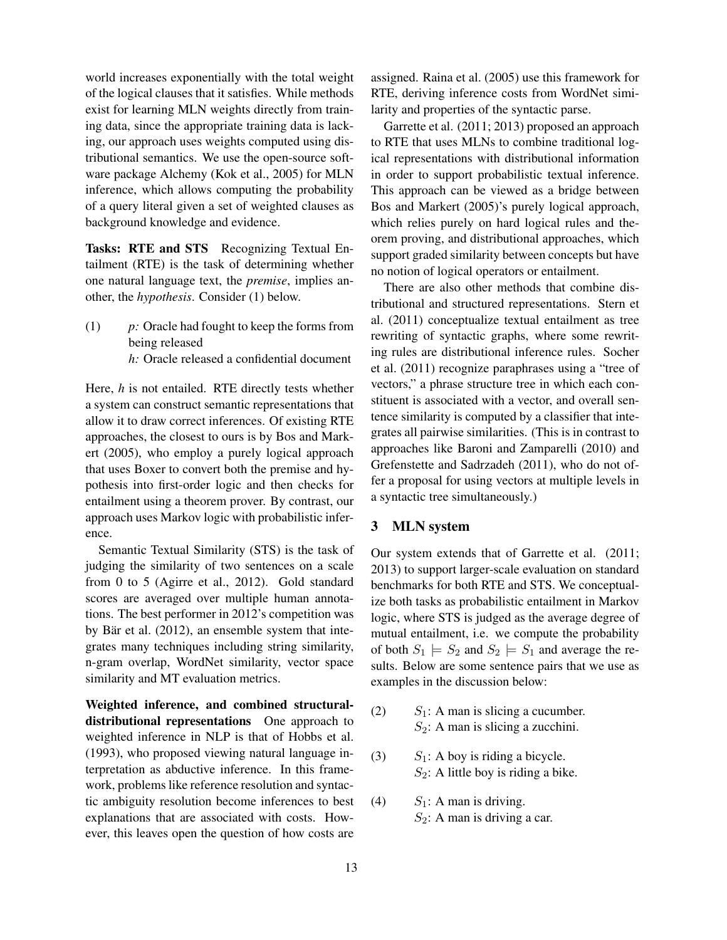world increases exponentially with the total weight of the logical clauses that it satisfies. While methods exist for learning MLN weights directly from training data, since the appropriate training data is lacking, our approach uses weights computed using distributional semantics. We use the open-source software package Alchemy (Kok et al., 2005) for MLN inference, which allows computing the probability of a query literal given a set of weighted clauses as background knowledge and evidence.

Tasks: RTE and STS Recognizing Textual Entailment (RTE) is the task of determining whether one natural language text, the *premise*, implies another, the *hypothesis*. Consider (1) below.

(1) *p:* Oracle had fought to keep the forms from being released *h:* Oracle released a confidential document

Here, *h* is not entailed. RTE directly tests whether a system can construct semantic representations that allow it to draw correct inferences. Of existing RTE approaches, the closest to ours is by Bos and Markert (2005), who employ a purely logical approach that uses Boxer to convert both the premise and hypothesis into first-order logic and then checks for entailment using a theorem prover. By contrast, our approach uses Markov logic with probabilistic inference.

Semantic Textual Similarity (STS) is the task of judging the similarity of two sentences on a scale from 0 to 5 (Agirre et al., 2012). Gold standard scores are averaged over multiple human annotations. The best performer in 2012's competition was by Bär et al.  $(2012)$ , an ensemble system that integrates many techniques including string similarity, n-gram overlap, WordNet similarity, vector space similarity and MT evaluation metrics.

Weighted inference, and combined structuraldistributional representations One approach to weighted inference in NLP is that of Hobbs et al. (1993), who proposed viewing natural language interpretation as abductive inference. In this framework, problems like reference resolution and syntactic ambiguity resolution become inferences to best explanations that are associated with costs. However, this leaves open the question of how costs are

assigned. Raina et al. (2005) use this framework for RTE, deriving inference costs from WordNet similarity and properties of the syntactic parse.

Garrette et al. (2011; 2013) proposed an approach to RTE that uses MLNs to combine traditional logical representations with distributional information in order to support probabilistic textual inference. This approach can be viewed as a bridge between Bos and Markert (2005)'s purely logical approach, which relies purely on hard logical rules and theorem proving, and distributional approaches, which support graded similarity between concepts but have no notion of logical operators or entailment.

There are also other methods that combine distributional and structured representations. Stern et al. (2011) conceptualize textual entailment as tree rewriting of syntactic graphs, where some rewriting rules are distributional inference rules. Socher et al. (2011) recognize paraphrases using a "tree of vectors," a phrase structure tree in which each constituent is associated with a vector, and overall sentence similarity is computed by a classifier that integrates all pairwise similarities. (This is in contrast to approaches like Baroni and Zamparelli (2010) and Grefenstette and Sadrzadeh (2011), who do not offer a proposal for using vectors at multiple levels in a syntactic tree simultaneously.)

### 3 MLN system

Our system extends that of Garrette et al. (2011; 2013) to support larger-scale evaluation on standard benchmarks for both RTE and STS. We conceptualize both tasks as probabilistic entailment in Markov logic, where STS is judged as the average degree of mutual entailment, i.e. we compute the probability of both  $S_1 \models S_2$  and  $S_2 \models S_1$  and average the results. Below are some sentence pairs that we use as examples in the discussion below:

- (2)  $S_1$ : A man is slicing a cucumber.  $S_2$ : A man is slicing a zucchini.
- (3)  $S_1$ : A boy is riding a bicycle.  $S_2$ : A little boy is riding a bike.
- (4)  $S_1$ : A man is driving.  $S_2$ : A man is driving a car.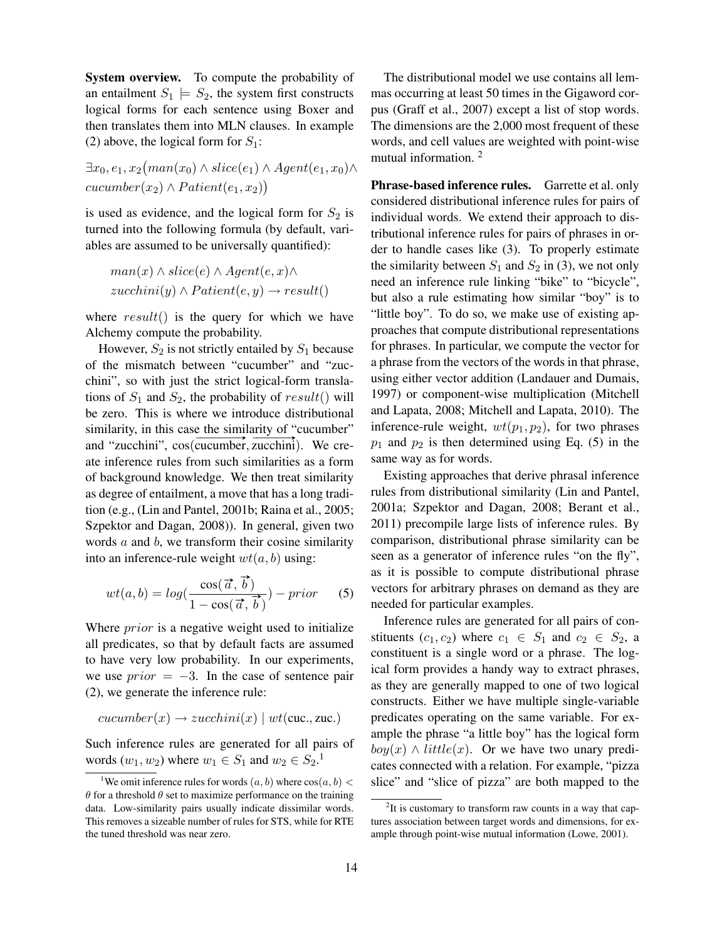System overview. To compute the probability of an entailment  $S_1 \models S_2$ , the system first constructs logical forms for each sentence using Boxer and then translates them into MLN clauses. In example (2) above, the logical form for  $S_1$ :

 $\exists x_0, e_1, x_2 (man(x_0) \wedge slice(e_1) \wedge Agent(e_1, x_0) \wedge$  $cucumber(x_2) \wedge Patient(e_1, x_2)$ 

is used as evidence, and the logical form for  $S_2$  is turned into the following formula (by default, variables are assumed to be universally quantified):

$$
man(x) \land slice(e) \land Agent(e, x) \land
$$
  
zucchini(y) \land Patient(e, y) \rightarrow result()

where  $result()$  is the query for which we have Alchemy compute the probability.

However,  $S_2$  is not strictly entailed by  $S_1$  because of the mismatch between "cucumber" and "zucchini", so with just the strict logical-form translations of  $S_1$  and  $S_2$ , the probability of result() will be zero. This is where we introduce distributional similarity, in this case the similarity of "cucumber" similarity, in this case the similarity of cucumber<br>and "zucchini",  $cos(cucumber, zucchini)$ . We create inference rules from such similarities as a form of background knowledge. We then treat similarity as degree of entailment, a move that has a long tradition (e.g., (Lin and Pantel, 2001b; Raina et al., 2005; Szpektor and Dagan, 2008)). In general, given two words  $a$  and  $b$ , we transform their cosine similarity into an inference-rule weight  $wt(a, b)$  using:

$$
wt(a,b) = log(\frac{\cos(\vec{a}, \vec{b})}{1 - \cos(\vec{a}, \vec{b})}) - prior \qquad (5)
$$

Where *prior* is a negative weight used to initialize all predicates, so that by default facts are assumed to have very low probability. In our experiments, we use  $prior = -3$ . In the case of sentence pair (2), we generate the inference rule:

$$
cucumber(x) \rightarrow zucchini(x) \mid wt(cuc., zuc.)
$$

Such inference rules are generated for all pairs of words  $(w_1, w_2)$  where  $w_1 \in S_1$  and  $w_2 \in S_2$ .<sup>1</sup>

The distributional model we use contains all lemmas occurring at least 50 times in the Gigaword corpus (Graff et al., 2007) except a list of stop words. The dimensions are the 2,000 most frequent of these words, and cell values are weighted with point-wise mutual information. <sup>2</sup>

Phrase-based inference rules. Garrette et al. only considered distributional inference rules for pairs of individual words. We extend their approach to distributional inference rules for pairs of phrases in order to handle cases like (3). To properly estimate the similarity between  $S_1$  and  $S_2$  in (3), we not only need an inference rule linking "bike" to "bicycle", but also a rule estimating how similar "boy" is to "little boy". To do so, we make use of existing approaches that compute distributional representations for phrases. In particular, we compute the vector for a phrase from the vectors of the words in that phrase, using either vector addition (Landauer and Dumais, 1997) or component-wise multiplication (Mitchell and Lapata, 2008; Mitchell and Lapata, 2010). The inference-rule weight,  $wt(p_1, p_2)$ , for two phrases  $p_1$  and  $p_2$  is then determined using Eq. (5) in the same way as for words.

Existing approaches that derive phrasal inference rules from distributional similarity (Lin and Pantel, 2001a; Szpektor and Dagan, 2008; Berant et al., 2011) precompile large lists of inference rules. By comparison, distributional phrase similarity can be seen as a generator of inference rules "on the fly", as it is possible to compute distributional phrase vectors for arbitrary phrases on demand as they are needed for particular examples.

Inference rules are generated for all pairs of constituents  $(c_1, c_2)$  where  $c_1 \in S_1$  and  $c_2 \in S_2$ , a constituent is a single word or a phrase. The logical form provides a handy way to extract phrases, as they are generally mapped to one of two logical constructs. Either we have multiple single-variable predicates operating on the same variable. For example the phrase "a little boy" has the logical form  $boy(x) \wedge little(x)$ . Or we have two unary predicates connected with a relation. For example, "pizza slice" and "slice of pizza" are both mapped to the

<sup>&</sup>lt;sup>1</sup>We omit inference rules for words  $(a, b)$  where  $cos(a, b)$  <  $\theta$  for a threshold  $\theta$  set to maximize performance on the training data. Low-similarity pairs usually indicate dissimilar words. This removes a sizeable number of rules for STS, while for RTE the tuned threshold was near zero.

 $2$ It is customary to transform raw counts in a way that captures association between target words and dimensions, for example through point-wise mutual information (Lowe, 2001).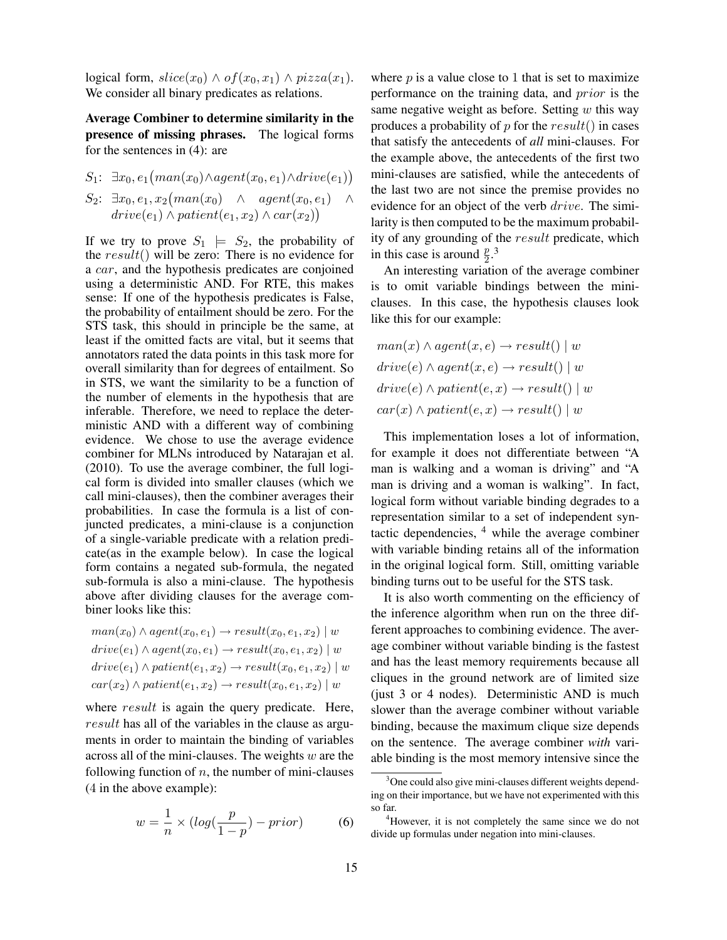logical form,  $slice(x_0) \wedge of(x_0, x_1) \wedge pizza(x_1)$ . We consider all binary predicates as relations.

Average Combiner to determine similarity in the presence of missing phrases. The logical forms for the sentences in (4): are

$$
S_1: \exists x_0, e_1(max(x_0) \land agent(x_0, e_1) \land drive(e_1))
$$
  
\n
$$
S_2: \exists x_0, e_1, x_2(max(x_0) \land agent(x_0, e_1) \land\n
$$
drive(e_1) \land patient(e_1, x_2) \land car(x_2))
$$
$$

If we try to prove  $S_1 \models S_2$ , the probability of the  $result()$  will be zero: There is no evidence for a car, and the hypothesis predicates are conjoined using a deterministic AND. For RTE, this makes sense: If one of the hypothesis predicates is False, the probability of entailment should be zero. For the STS task, this should in principle be the same, at least if the omitted facts are vital, but it seems that annotators rated the data points in this task more for overall similarity than for degrees of entailment. So in STS, we want the similarity to be a function of the number of elements in the hypothesis that are inferable. Therefore, we need to replace the deterministic AND with a different way of combining evidence. We chose to use the average evidence combiner for MLNs introduced by Natarajan et al. (2010). To use the average combiner, the full logical form is divided into smaller clauses (which we call mini-clauses), then the combiner averages their probabilities. In case the formula is a list of conjuncted predicates, a mini-clause is a conjunction of a single-variable predicate with a relation predicate(as in the example below). In case the logical form contains a negated sub-formula, the negated sub-formula is also a mini-clause. The hypothesis above after dividing clauses for the average combiner looks like this:

$$
man(x_0) \land agent(x_0, e_1) \rightarrow result(x_0, e_1, x_2) \mid w
$$
  
drive(e\_1) \land agent(x\_0, e\_1) \rightarrow result(x\_0, e\_1, x\_2) \mid w  
drive(e\_1) \land patient(e\_1, x\_2) \rightarrow result(x\_0, e\_1, x\_2) \mid w  
car(x\_2) \land patient(e\_1, x\_2) \rightarrow result(x\_0, e\_1, x\_2) \mid w

where *result* is again the query predicate. Here, result has all of the variables in the clause as arguments in order to maintain the binding of variables across all of the mini-clauses. The weights  $w$  are the following function of  $n$ , the number of mini-clauses (4 in the above example):

$$
w = \frac{1}{n} \times (log(\frac{p}{1-p}) - prior)
$$
 (6)

where  $p$  is a value close to 1 that is set to maximize performance on the training data, and prior is the same negative weight as before. Setting  $w$  this way produces a probability of  $p$  for the  $result()$  in cases that satisfy the antecedents of *all* mini-clauses. For the example above, the antecedents of the first two mini-clauses are satisfied, while the antecedents of the last two are not since the premise provides no evidence for an object of the verb *drive*. The similarity is then computed to be the maximum probability of any grounding of the result predicate, which in this case is around  $\frac{p}{2}$ .<sup>3</sup>

An interesting variation of the average combiner is to omit variable bindings between the miniclauses. In this case, the hypothesis clauses look like this for our example:

$$
man(x) \land agent(x, e) \rightarrow result() \mid w
$$
  
drive(e) \land agent(x, e) \rightarrow result() \mid w  
drive(e) \land patient(e, x) \rightarrow result() \mid w  
car(x) \land patient(e, x) \rightarrow result() \mid w

This implementation loses a lot of information, for example it does not differentiate between "A man is walking and a woman is driving" and "A man is driving and a woman is walking". In fact, logical form without variable binding degrades to a representation similar to a set of independent syntactic dependencies, <sup>4</sup> while the average combiner with variable binding retains all of the information in the original logical form. Still, omitting variable binding turns out to be useful for the STS task.

It is also worth commenting on the efficiency of the inference algorithm when run on the three different approaches to combining evidence. The average combiner without variable binding is the fastest and has the least memory requirements because all cliques in the ground network are of limited size (just 3 or 4 nodes). Deterministic AND is much slower than the average combiner without variable binding, because the maximum clique size depends on the sentence. The average combiner *with* variable binding is the most memory intensive since the

<sup>&</sup>lt;sup>3</sup>One could also give mini-clauses different weights depending on their importance, but we have not experimented with this so far.

<sup>&</sup>lt;sup>4</sup>However, it is not completely the same since we do not divide up formulas under negation into mini-clauses.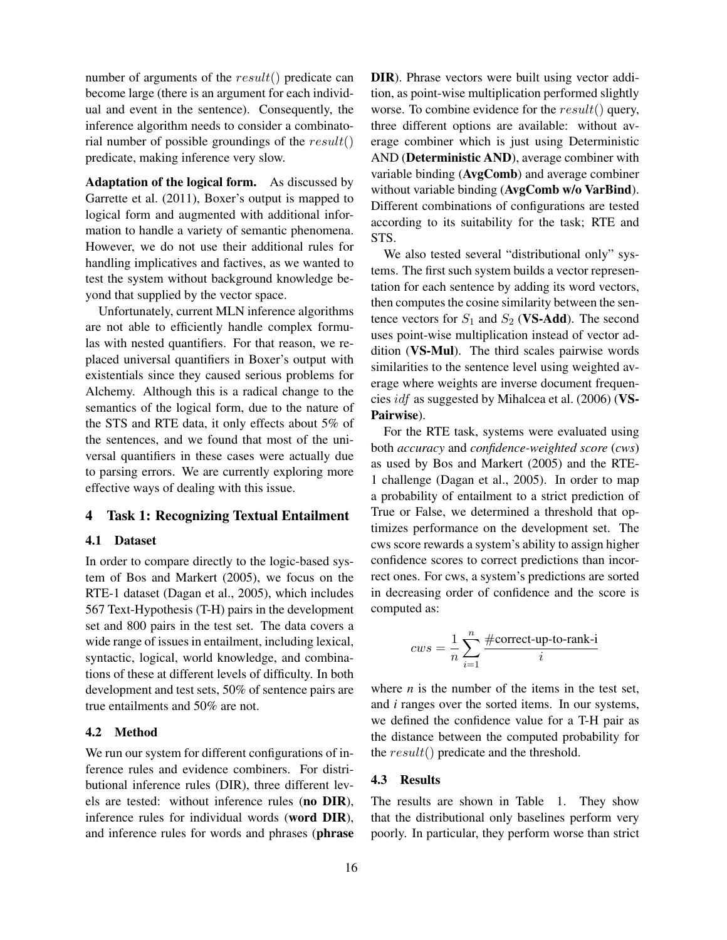number of arguments of the  $result()$  predicate can become large (there is an argument for each individual and event in the sentence). Consequently, the inference algorithm needs to consider a combinatorial number of possible groundings of the  $result()$ predicate, making inference very slow.

Adaptation of the logical form. As discussed by Garrette et al. (2011), Boxer's output is mapped to logical form and augmented with additional information to handle a variety of semantic phenomena. However, we do not use their additional rules for handling implicatives and factives, as we wanted to test the system without background knowledge beyond that supplied by the vector space.

Unfortunately, current MLN inference algorithms are not able to efficiently handle complex formulas with nested quantifiers. For that reason, we replaced universal quantifiers in Boxer's output with existentials since they caused serious problems for Alchemy. Although this is a radical change to the semantics of the logical form, due to the nature of the STS and RTE data, it only effects about 5% of the sentences, and we found that most of the universal quantifiers in these cases were actually due to parsing errors. We are currently exploring more effective ways of dealing with this issue.

## 4 Task 1: Recognizing Textual Entailment

#### 4.1 Dataset

In order to compare directly to the logic-based system of Bos and Markert (2005), we focus on the RTE-1 dataset (Dagan et al., 2005), which includes 567 Text-Hypothesis (T-H) pairs in the development set and 800 pairs in the test set. The data covers a wide range of issues in entailment, including lexical, syntactic, logical, world knowledge, and combinations of these at different levels of difficulty. In both development and test sets, 50% of sentence pairs are true entailments and 50% are not.

#### 4.2 Method

We run our system for different configurations of inference rules and evidence combiners. For distributional inference rules (DIR), three different levels are tested: without inference rules (no DIR), inference rules for individual words (word DIR), and inference rules for words and phrases (phrase DIR). Phrase vectors were built using vector addition, as point-wise multiplication performed slightly worse. To combine evidence for the result() query, three different options are available: without average combiner which is just using Deterministic AND (Deterministic AND), average combiner with variable binding (AvgComb) and average combiner without variable binding (AvgComb w/o VarBind). Different combinations of configurations are tested according to its suitability for the task; RTE and STS.

We also tested several "distributional only" systems. The first such system builds a vector representation for each sentence by adding its word vectors, then computes the cosine similarity between the sentence vectors for  $S_1$  and  $S_2$  (VS-Add). The second uses point-wise multiplication instead of vector addition (VS-Mul). The third scales pairwise words similarities to the sentence level using weighted average where weights are inverse document frequencies idf as suggested by Mihalcea et al. (2006) (VS-Pairwise).

For the RTE task, systems were evaluated using both *accuracy* and *confidence-weighted score* (*cws*) as used by Bos and Markert (2005) and the RTE-1 challenge (Dagan et al., 2005). In order to map a probability of entailment to a strict prediction of True or False, we determined a threshold that optimizes performance on the development set. The cws score rewards a system's ability to assign higher confidence scores to correct predictions than incorrect ones. For cws, a system's predictions are sorted in decreasing order of confidence and the score is computed as:

$$
cws = \frac{1}{n}\sum_{i=1}^{n} \frac{\# \text{correct-up-to-rank-i}}{i}
$$

where  $n$  is the number of the items in the test set, and *i* ranges over the sorted items. In our systems, we defined the confidence value for a T-H pair as the distance between the computed probability for the result() predicate and the threshold.

#### 4.3 Results

The results are shown in Table 1. They show that the distributional only baselines perform very poorly. In particular, they perform worse than strict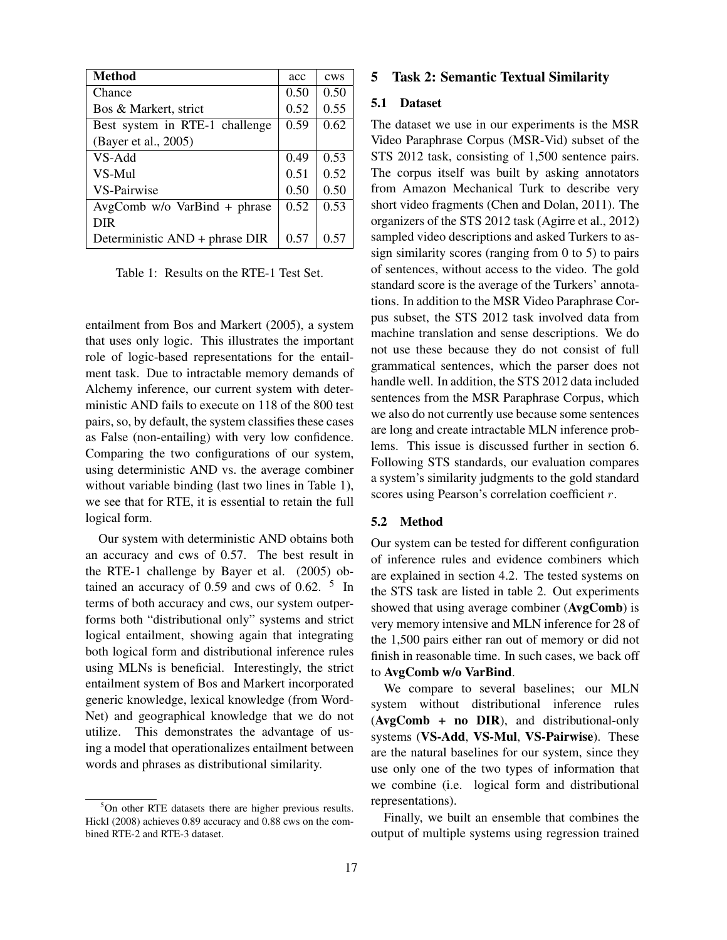| <b>Method</b>                    | acc  | cws  |
|----------------------------------|------|------|
| Chance                           | 0.50 | 0.50 |
| Bos & Markert, strict            | 0.52 | 0.55 |
| Best system in RTE-1 challenge   | 0.59 | 0.62 |
| (Bayer et al., 2005)             |      |      |
| VS-Add                           | 0.49 | 0.53 |
| VS-Mul                           | 0.51 | 0.52 |
| <b>VS-Pairwise</b>               | 0.50 | 0.50 |
| $AvgComb$ w/o $VarBind + phrase$ | 0.52 | 0.53 |
| <b>DIR</b>                       |      |      |
| Deterministic AND + phrase DIR   | 0.57 | 0.57 |

Table 1: Results on the RTE-1 Test Set.

entailment from Bos and Markert (2005), a system that uses only logic. This illustrates the important role of logic-based representations for the entailment task. Due to intractable memory demands of Alchemy inference, our current system with deterministic AND fails to execute on 118 of the 800 test pairs, so, by default, the system classifies these cases as False (non-entailing) with very low confidence. Comparing the two configurations of our system, using deterministic AND vs. the average combiner without variable binding (last two lines in Table 1), we see that for RTE, it is essential to retain the full logical form.

Our system with deterministic AND obtains both an accuracy and cws of 0.57. The best result in the RTE-1 challenge by Bayer et al. (2005) obtained an accuracy of  $0.59$  and cws of  $0.62$ . <sup>5</sup> In terms of both accuracy and cws, our system outperforms both "distributional only" systems and strict logical entailment, showing again that integrating both logical form and distributional inference rules using MLNs is beneficial. Interestingly, the strict entailment system of Bos and Markert incorporated generic knowledge, lexical knowledge (from Word-Net) and geographical knowledge that we do not utilize. This demonstrates the advantage of using a model that operationalizes entailment between words and phrases as distributional similarity.

### 5 Task 2: Semantic Textual Similarity

### 5.1 Dataset

The dataset we use in our experiments is the MSR Video Paraphrase Corpus (MSR-Vid) subset of the STS 2012 task, consisting of 1,500 sentence pairs. The corpus itself was built by asking annotators from Amazon Mechanical Turk to describe very short video fragments (Chen and Dolan, 2011). The organizers of the STS 2012 task (Agirre et al., 2012) sampled video descriptions and asked Turkers to assign similarity scores (ranging from 0 to 5) to pairs of sentences, without access to the video. The gold standard score is the average of the Turkers' annotations. In addition to the MSR Video Paraphrase Corpus subset, the STS 2012 task involved data from machine translation and sense descriptions. We do not use these because they do not consist of full grammatical sentences, which the parser does not handle well. In addition, the STS 2012 data included sentences from the MSR Paraphrase Corpus, which we also do not currently use because some sentences are long and create intractable MLN inference problems. This issue is discussed further in section 6. Following STS standards, our evaluation compares a system's similarity judgments to the gold standard scores using Pearson's correlation coefficient r.

#### 5.2 Method

Our system can be tested for different configuration of inference rules and evidence combiners which are explained in section 4.2. The tested systems on the STS task are listed in table 2. Out experiments showed that using average combiner (AvgComb) is very memory intensive and MLN inference for 28 of the 1,500 pairs either ran out of memory or did not finish in reasonable time. In such cases, we back off to AvgComb w/o VarBind.

We compare to several baselines; our MLN system without distributional inference rules (AvgComb + no DIR), and distributional-only systems (VS-Add, VS-Mul, VS-Pairwise). These are the natural baselines for our system, since they use only one of the two types of information that we combine (i.e. logical form and distributional representations).

Finally, we built an ensemble that combines the output of multiple systems using regression trained

 $5$ On other RTE datasets there are higher previous results. Hickl (2008) achieves 0.89 accuracy and 0.88 cws on the combined RTE-2 and RTE-3 dataset.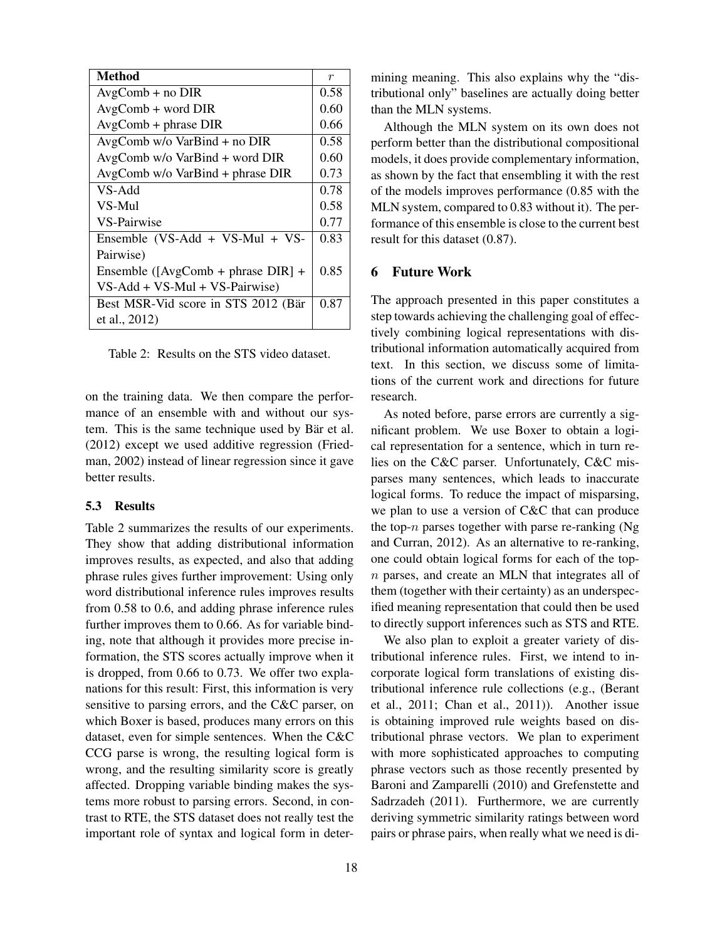| Method                               | $\boldsymbol{r}$ |
|--------------------------------------|------------------|
| $AvgComb + no DIR$                   |                  |
| $AvgComb + word DIR$                 | 0.60             |
| $AvgComb + phrase DIR$               | 0.66             |
| $AvgComb$ w/o $VarBind + no$ DIR     | 0.58             |
| AvgComb w/o VarBind + word DIR       |                  |
| $AvgComb$ w/o $VarBind + phrase$ DIR |                  |
| VS-Add                               | 0.78             |
| VS-Mul                               | 0.58             |
| <b>VS-Pairwise</b>                   | 0.77             |
| Ensemble (VS-Add + VS-Mul + VS-      | 0.83             |
| Pairwise)                            |                  |
| Ensemble ([AvgComb + phrase DIR] +   |                  |
| $VS$ -Add + VS-Mul + VS-Pairwise)    |                  |
| Best MSR-Vid score in STS 2012 (Bär  | 0.87             |
| et al., 2012)                        |                  |

Table 2: Results on the STS video dataset.

on the training data. We then compare the performance of an ensemble with and without our system. This is the same technique used by Bär et al. (2012) except we used additive regression (Friedman, 2002) instead of linear regression since it gave better results.

#### 5.3 Results

Table 2 summarizes the results of our experiments. They show that adding distributional information improves results, as expected, and also that adding phrase rules gives further improvement: Using only word distributional inference rules improves results from 0.58 to 0.6, and adding phrase inference rules further improves them to 0.66. As for variable binding, note that although it provides more precise information, the STS scores actually improve when it is dropped, from 0.66 to 0.73. We offer two explanations for this result: First, this information is very sensitive to parsing errors, and the C&C parser, on which Boxer is based, produces many errors on this dataset, even for simple sentences. When the C&C CCG parse is wrong, the resulting logical form is wrong, and the resulting similarity score is greatly affected. Dropping variable binding makes the systems more robust to parsing errors. Second, in contrast to RTE, the STS dataset does not really test the important role of syntax and logical form in determining meaning. This also explains why the "distributional only" baselines are actually doing better than the MLN systems.

Although the MLN system on its own does not perform better than the distributional compositional models, it does provide complementary information, as shown by the fact that ensembling it with the rest of the models improves performance (0.85 with the MLN system, compared to 0.83 without it). The performance of this ensemble is close to the current best result for this dataset (0.87).

#### 6 Future Work

The approach presented in this paper constitutes a step towards achieving the challenging goal of effectively combining logical representations with distributional information automatically acquired from text. In this section, we discuss some of limitations of the current work and directions for future research.

As noted before, parse errors are currently a significant problem. We use Boxer to obtain a logical representation for a sentence, which in turn relies on the C&C parser. Unfortunately, C&C misparses many sentences, which leads to inaccurate logical forms. To reduce the impact of misparsing, we plan to use a version of C&C that can produce the top- $n$  parses together with parse re-ranking (Ng and Curran, 2012). As an alternative to re-ranking, one could obtain logical forms for each of the topn parses, and create an MLN that integrates all of them (together with their certainty) as an underspecified meaning representation that could then be used to directly support inferences such as STS and RTE.

We also plan to exploit a greater variety of distributional inference rules. First, we intend to incorporate logical form translations of existing distributional inference rule collections (e.g., (Berant et al., 2011; Chan et al., 2011)). Another issue is obtaining improved rule weights based on distributional phrase vectors. We plan to experiment with more sophisticated approaches to computing phrase vectors such as those recently presented by Baroni and Zamparelli (2010) and Grefenstette and Sadrzadeh (2011). Furthermore, we are currently deriving symmetric similarity ratings between word pairs or phrase pairs, when really what we need is di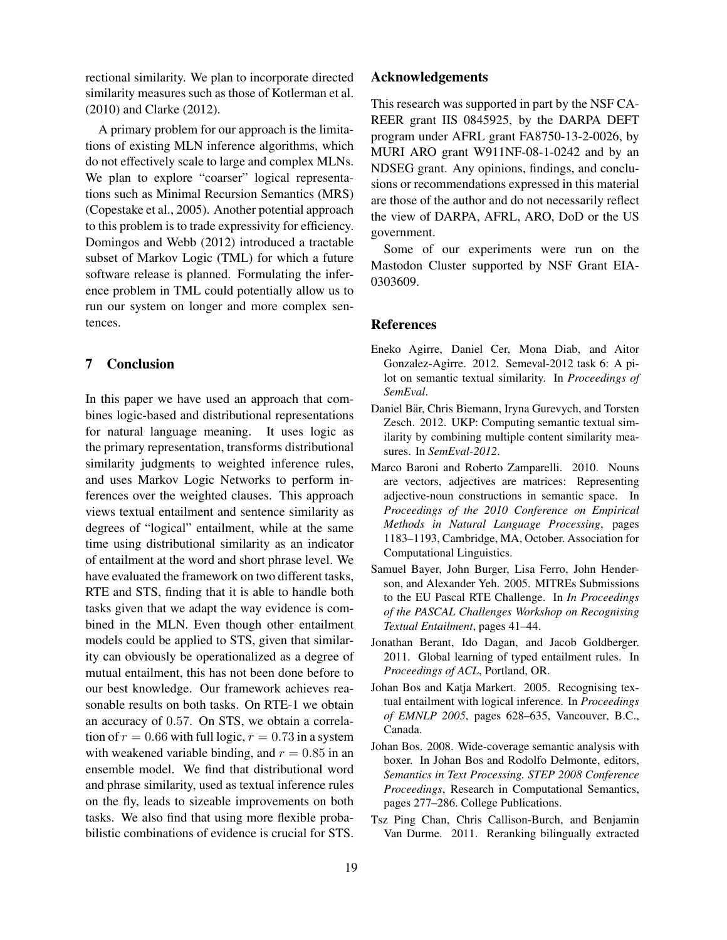rectional similarity. We plan to incorporate directed similarity measures such as those of Kotlerman et al. (2010) and Clarke (2012).

A primary problem for our approach is the limitations of existing MLN inference algorithms, which do not effectively scale to large and complex MLNs. We plan to explore "coarser" logical representations such as Minimal Recursion Semantics (MRS) (Copestake et al., 2005). Another potential approach to this problem is to trade expressivity for efficiency. Domingos and Webb (2012) introduced a tractable subset of Markov Logic (TML) for which a future software release is planned. Formulating the inference problem in TML could potentially allow us to run our system on longer and more complex sentences.

### 7 Conclusion

In this paper we have used an approach that combines logic-based and distributional representations for natural language meaning. It uses logic as the primary representation, transforms distributional similarity judgments to weighted inference rules, and uses Markov Logic Networks to perform inferences over the weighted clauses. This approach views textual entailment and sentence similarity as degrees of "logical" entailment, while at the same time using distributional similarity as an indicator of entailment at the word and short phrase level. We have evaluated the framework on two different tasks, RTE and STS, finding that it is able to handle both tasks given that we adapt the way evidence is combined in the MLN. Even though other entailment models could be applied to STS, given that similarity can obviously be operationalized as a degree of mutual entailment, this has not been done before to our best knowledge. Our framework achieves reasonable results on both tasks. On RTE-1 we obtain an accuracy of 0.57. On STS, we obtain a correlation of  $r = 0.66$  with full logic,  $r = 0.73$  in a system with weakened variable binding, and  $r = 0.85$  in an ensemble model. We find that distributional word and phrase similarity, used as textual inference rules on the fly, leads to sizeable improvements on both tasks. We also find that using more flexible probabilistic combinations of evidence is crucial for STS.

### Acknowledgements

This research was supported in part by the NSF CA-REER grant IIS 0845925, by the DARPA DEFT program under AFRL grant FA8750-13-2-0026, by MURI ARO grant W911NF-08-1-0242 and by an NDSEG grant. Any opinions, findings, and conclusions or recommendations expressed in this material are those of the author and do not necessarily reflect the view of DARPA, AFRL, ARO, DoD or the US government.

Some of our experiments were run on the Mastodon Cluster supported by NSF Grant EIA-0303609.

#### References

- Eneko Agirre, Daniel Cer, Mona Diab, and Aitor Gonzalez-Agirre. 2012. Semeval-2012 task 6: A pilot on semantic textual similarity. In *Proceedings of SemEval*.
- Daniel Bär, Chris Biemann, Iryna Gurevych, and Torsten Zesch. 2012. UKP: Computing semantic textual similarity by combining multiple content similarity measures. In *SemEval-2012*.
- Marco Baroni and Roberto Zamparelli. 2010. Nouns are vectors, adjectives are matrices: Representing adjective-noun constructions in semantic space. In *Proceedings of the 2010 Conference on Empirical Methods in Natural Language Processing*, pages 1183–1193, Cambridge, MA, October. Association for Computational Linguistics.
- Samuel Bayer, John Burger, Lisa Ferro, John Henderson, and Alexander Yeh. 2005. MITREs Submissions to the EU Pascal RTE Challenge. In *In Proceedings of the PASCAL Challenges Workshop on Recognising Textual Entailment*, pages 41–44.
- Jonathan Berant, Ido Dagan, and Jacob Goldberger. 2011. Global learning of typed entailment rules. In *Proceedings of ACL*, Portland, OR.
- Johan Bos and Katja Markert. 2005. Recognising textual entailment with logical inference. In *Proceedings of EMNLP 2005*, pages 628–635, Vancouver, B.C., Canada.
- Johan Bos. 2008. Wide-coverage semantic analysis with boxer. In Johan Bos and Rodolfo Delmonte, editors, *Semantics in Text Processing. STEP 2008 Conference Proceedings*, Research in Computational Semantics, pages 277–286. College Publications.
- Tsz Ping Chan, Chris Callison-Burch, and Benjamin Van Durme. 2011. Reranking bilingually extracted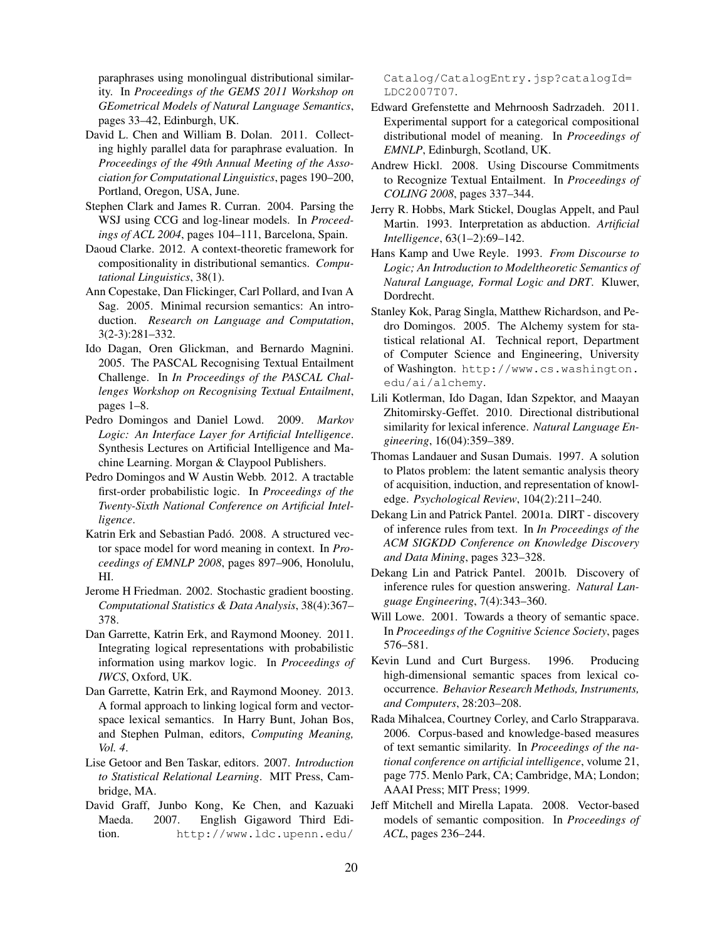paraphrases using monolingual distributional similarity. In *Proceedings of the GEMS 2011 Workshop on GEometrical Models of Natural Language Semantics*, pages 33–42, Edinburgh, UK.

- David L. Chen and William B. Dolan. 2011. Collecting highly parallel data for paraphrase evaluation. In *Proceedings of the 49th Annual Meeting of the Association for Computational Linguistics*, pages 190–200, Portland, Oregon, USA, June.
- Stephen Clark and James R. Curran. 2004. Parsing the WSJ using CCG and log-linear models. In *Proceedings of ACL 2004*, pages 104–111, Barcelona, Spain.
- Daoud Clarke. 2012. A context-theoretic framework for compositionality in distributional semantics. *Computational Linguistics*, 38(1).
- Ann Copestake, Dan Flickinger, Carl Pollard, and Ivan A Sag. 2005. Minimal recursion semantics: An introduction. *Research on Language and Computation*, 3(2-3):281–332.
- Ido Dagan, Oren Glickman, and Bernardo Magnini. 2005. The PASCAL Recognising Textual Entailment Challenge. In *In Proceedings of the PASCAL Challenges Workshop on Recognising Textual Entailment*, pages 1–8.
- Pedro Domingos and Daniel Lowd. 2009. *Markov Logic: An Interface Layer for Artificial Intelligence*. Synthesis Lectures on Artificial Intelligence and Machine Learning. Morgan & Claypool Publishers.
- Pedro Domingos and W Austin Webb. 2012. A tractable first-order probabilistic logic. In *Proceedings of the Twenty-Sixth National Conference on Artificial Intelligence*.
- Katrin Erk and Sebastian Padó. 2008. A structured vector space model for word meaning in context. In *Proceedings of EMNLP 2008*, pages 897–906, Honolulu, HI.
- Jerome H Friedman. 2002. Stochastic gradient boosting. *Computational Statistics & Data Analysis*, 38(4):367– 378.
- Dan Garrette, Katrin Erk, and Raymond Mooney. 2011. Integrating logical representations with probabilistic information using markov logic. In *Proceedings of IWCS*, Oxford, UK.
- Dan Garrette, Katrin Erk, and Raymond Mooney. 2013. A formal approach to linking logical form and vectorspace lexical semantics. In Harry Bunt, Johan Bos, and Stephen Pulman, editors, *Computing Meaning, Vol. 4*.
- Lise Getoor and Ben Taskar, editors. 2007. *Introduction to Statistical Relational Learning*. MIT Press, Cambridge, MA.
- David Graff, Junbo Kong, Ke Chen, and Kazuaki Maeda. 2007. English Gigaword Third Edition. http://www.ldc.upenn.edu/

Catalog/CatalogEntry.jsp?catalogId= LDC2007T07.

- Edward Grefenstette and Mehrnoosh Sadrzadeh. 2011. Experimental support for a categorical compositional distributional model of meaning. In *Proceedings of EMNLP*, Edinburgh, Scotland, UK.
- Andrew Hickl. 2008. Using Discourse Commitments to Recognize Textual Entailment. In *Proceedings of COLING 2008*, pages 337–344.
- Jerry R. Hobbs, Mark Stickel, Douglas Appelt, and Paul Martin. 1993. Interpretation as abduction. *Artificial Intelligence*, 63(1–2):69–142.
- Hans Kamp and Uwe Reyle. 1993. *From Discourse to Logic; An Introduction to Modeltheoretic Semantics of Natural Language, Formal Logic and DRT*. Kluwer, Dordrecht.
- Stanley Kok, Parag Singla, Matthew Richardson, and Pedro Domingos. 2005. The Alchemy system for statistical relational AI. Technical report, Department of Computer Science and Engineering, University of Washington. http://www.cs.washington. edu/ai/alchemy.
- Lili Kotlerman, Ido Dagan, Idan Szpektor, and Maayan Zhitomirsky-Geffet. 2010. Directional distributional similarity for lexical inference. *Natural Language Engineering*, 16(04):359–389.
- Thomas Landauer and Susan Dumais. 1997. A solution to Platos problem: the latent semantic analysis theory of acquisition, induction, and representation of knowledge. *Psychological Review*, 104(2):211–240.
- Dekang Lin and Patrick Pantel. 2001a. DIRT discovery of inference rules from text. In *In Proceedings of the ACM SIGKDD Conference on Knowledge Discovery and Data Mining*, pages 323–328.
- Dekang Lin and Patrick Pantel. 2001b. Discovery of inference rules for question answering. *Natural Language Engineering*, 7(4):343–360.
- Will Lowe. 2001. Towards a theory of semantic space. In *Proceedings of the Cognitive Science Society*, pages 576–581.
- Kevin Lund and Curt Burgess. 1996. Producing high-dimensional semantic spaces from lexical cooccurrence. *Behavior Research Methods, Instruments, and Computers*, 28:203–208.
- Rada Mihalcea, Courtney Corley, and Carlo Strapparava. 2006. Corpus-based and knowledge-based measures of text semantic similarity. In *Proceedings of the national conference on artificial intelligence*, volume 21, page 775. Menlo Park, CA; Cambridge, MA; London; AAAI Press; MIT Press; 1999.
- Jeff Mitchell and Mirella Lapata. 2008. Vector-based models of semantic composition. In *Proceedings of ACL*, pages 236–244.